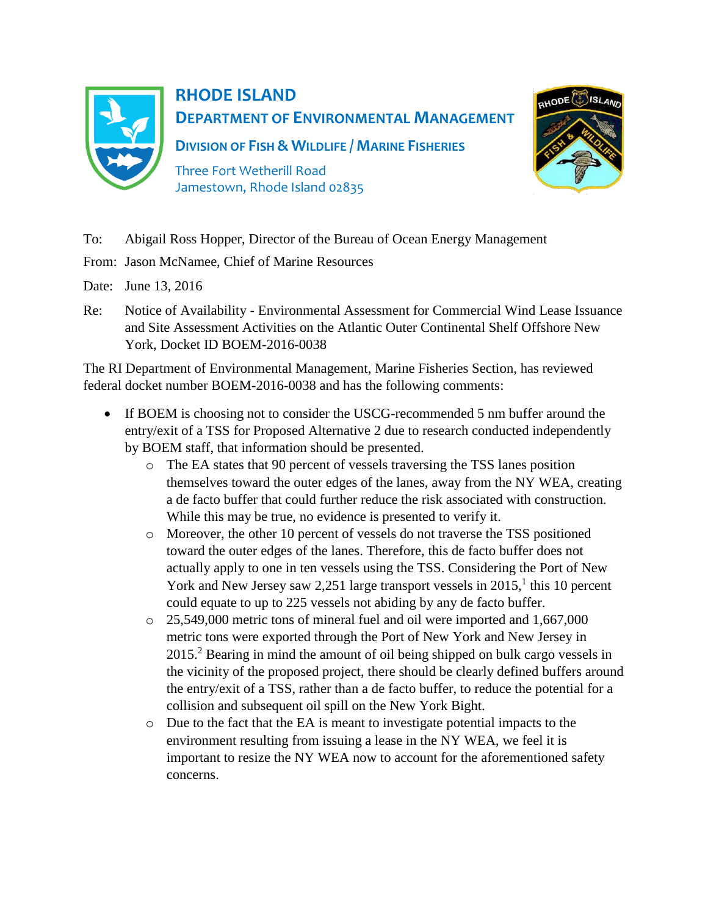

## **RHODE ISLAND DEPARTMENT OF ENVIRONMENTAL MANAGEMENT**

**DIVISION OF FISH & WILDLIFE / MARINE FISHERIES**

Three Fort Wetherill Road Jamestown, Rhode Island 02835



- To: Abigail Ross Hopper, Director of the Bureau of Ocean Energy Management
- From: Jason McNamee, Chief of Marine Resources
- Date: June 13, 2016
- Re: Notice of Availability Environmental Assessment for Commercial Wind Lease Issuance and Site Assessment Activities on the Atlantic Outer Continental Shelf Offshore New York, Docket ID BOEM-2016-0038

The RI Department of Environmental Management, Marine Fisheries Section, has reviewed federal docket number BOEM-2016-0038 and has the following comments:

- If BOEM is choosing not to consider the USCG-recommended 5 nm buffer around the entry/exit of a TSS for Proposed Alternative 2 due to research conducted independently by BOEM staff, that information should be presented.
	- o The EA states that 90 percent of vessels traversing the TSS lanes position themselves toward the outer edges of the lanes, away from the NY WEA, creating a de facto buffer that could further reduce the risk associated with construction. While this may be true, no evidence is presented to verify it.
	- o Moreover, the other 10 percent of vessels do not traverse the TSS positioned toward the outer edges of the lanes. Therefore, this de facto buffer does not actually apply to one in ten vessels using the TSS. Considering the Port of New York and New Jersey saw 2,251 large transport vessels in  $2015$ ,<sup>1</sup> this 10 percent could equate to up to 225 vessels not abiding by any de facto buffer.
	- $\circ$  25,549,000 metric tons of mineral fuel and oil were imported and 1,667,000 metric tons were exported through the Port of New York and New Jersey in 2015.<sup>2</sup> Bearing in mind the amount of oil being shipped on bulk cargo vessels in the vicinity of the proposed project, there should be clearly defined buffers around the entry/exit of a TSS, rather than a de facto buffer, to reduce the potential for a collision and subsequent oil spill on the New York Bight.
	- o Due to the fact that the EA is meant to investigate potential impacts to the environment resulting from issuing a lease in the NY WEA, we feel it is important to resize the NY WEA now to account for the aforementioned safety concerns.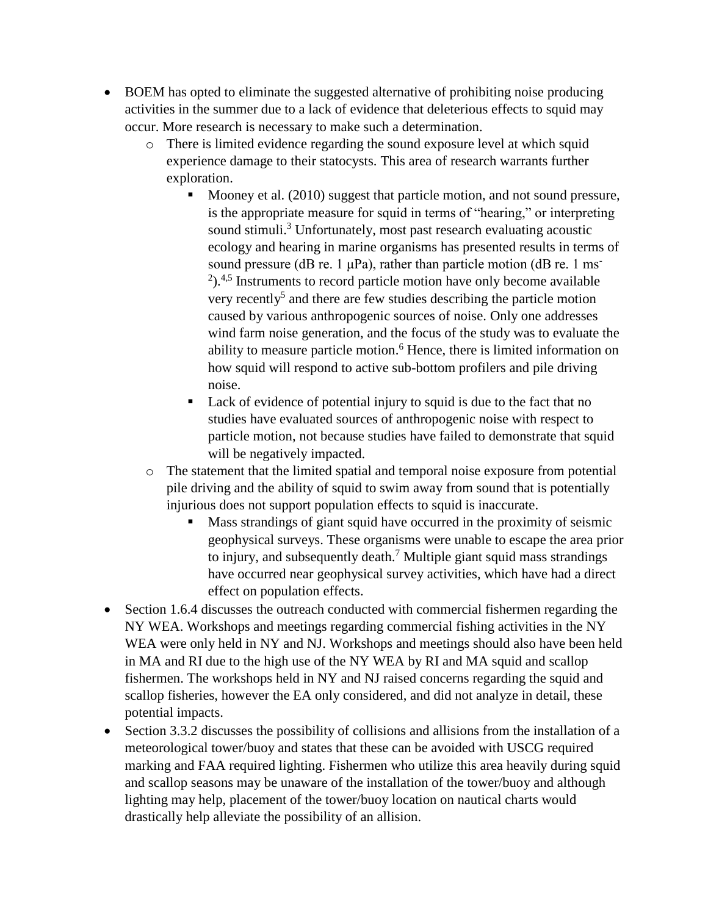- BOEM has opted to eliminate the suggested alternative of prohibiting noise producing activities in the summer due to a lack of evidence that deleterious effects to squid may occur. More research is necessary to make such a determination.
	- o There is limited evidence regarding the sound exposure level at which squid experience damage to their statocysts. This area of research warrants further exploration.
		- Mooney et al. (2010) suggest that particle motion, and not sound pressure, is the appropriate measure for squid in terms of "hearing," or interpreting sound stimuli.<sup>3</sup> Unfortunately, most past research evaluating acoustic ecology and hearing in marine organisms has presented results in terms of sound pressure (dB re. 1  $\mu$ Pa), rather than particle motion (dB re. 1 ms<sup>-</sup>  $2$ ).<sup>4,5</sup> Instruments to record particle motion have only become available very recently<sup>5</sup> and there are few studies describing the particle motion caused by various anthropogenic sources of noise. Only one addresses wind farm noise generation, and the focus of the study was to evaluate the ability to measure particle motion. <sup>6</sup> Hence, there is limited information on how squid will respond to active sub-bottom profilers and pile driving noise.
		- Lack of evidence of potential injury to squid is due to the fact that no studies have evaluated sources of anthropogenic noise with respect to particle motion, not because studies have failed to demonstrate that squid will be negatively impacted.
	- o The statement that the limited spatial and temporal noise exposure from potential pile driving and the ability of squid to swim away from sound that is potentially injurious does not support population effects to squid is inaccurate.
		- Mass strandings of giant squid have occurred in the proximity of seismic geophysical surveys. These organisms were unable to escape the area prior to injury, and subsequently death.<sup>7</sup> Multiple giant squid mass strandings have occurred near geophysical survey activities, which have had a direct effect on population effects.
- Section 1.6.4 discusses the outreach conducted with commercial fishermen regarding the NY WEA. Workshops and meetings regarding commercial fishing activities in the NY WEA were only held in NY and NJ. Workshops and meetings should also have been held in MA and RI due to the high use of the NY WEA by RI and MA squid and scallop fishermen. The workshops held in NY and NJ raised concerns regarding the squid and scallop fisheries, however the EA only considered, and did not analyze in detail, these potential impacts.
- Section 3.3.2 discusses the possibility of collisions and allisions from the installation of a meteorological tower/buoy and states that these can be avoided with USCG required marking and FAA required lighting. Fishermen who utilize this area heavily during squid and scallop seasons may be unaware of the installation of the tower/buoy and although lighting may help, placement of the tower/buoy location on nautical charts would drastically help alleviate the possibility of an allision.